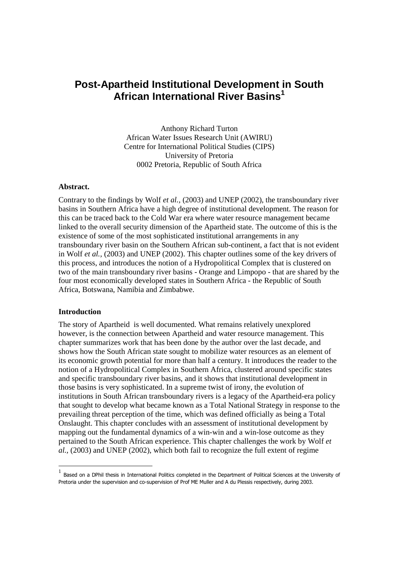# **Post-Apartheid Institutional Development in South African International River Basins<sup>1</sup>**

Anthony Richard Turton African Water Issues Research Unit (AWIRU) Centre for International Political Studies (CIPS) University of Pretoria 0002 Pretoria, Republic of South Africa

## **Abstract.**

Contrary to the findings by Wolf *et al.,* (2003) and UNEP (2002), the transboundary river basins in Southern Africa have a high degree of institutional development. The reason for this can be traced back to the Cold War era where water resource management became linked to the overall security dimension of the Apartheid state. The outcome of this is the existence of some of the most sophisticated institutional arrangements in any transboundary river basin on the Southern African sub-continent, a fact that is not evident in Wolf *et al.,* (2003) and UNEP (2002). This chapter outlines some of the key drivers of this process, and introduces the notion of a Hydropolitical Complex that is clustered on two of the main transboundary river basins - Orange and Limpopo - that are shared by the four most economically developed states in Southern Africa - the Republic of South Africa, Botswana, Namibia and Zimbabwe.

## **Introduction**

 $\overline{a}$ 

The story of Apartheid is well documented. What remains relatively unexplored however, is the connection between Apartheid and water resource management. This chapter summarizes work that has been done by the author over the last decade, and shows how the South African state sought to mobilize water resources as an element of its economic growth potential for more than half a century. It introduces the reader to the notion of a Hydropolitical Complex in Southern Africa, clustered around specific states and specific transboundary river basins, and it shows that institutional development in those basins is very sophisticated. In a supreme twist of irony, the evolution of institutions in South African transboundary rivers is a legacy of the Apartheid-era policy that sought to develop what became known as a Total National Strategy in response to the prevailing threat perception of the time, which was defined officially as being a Total Onslaught. This chapter concludes with an assessment of institutional development by mapping out the fundamental dynamics of a win-win and a win-lose outcome as they pertained to the South African experience. This chapter challenges the work by Wolf *et al.,* (2003) and UNEP (2002), which both fail to recognize the full extent of regime

 $<sup>1</sup>$  Based on a DPhil thesis in International Politics completed in the Department of Political Sciences at the University of</sup> Pretoria under the supervision and co-supervision of Prof ME Muller and A du Plessis respectively, during 2003.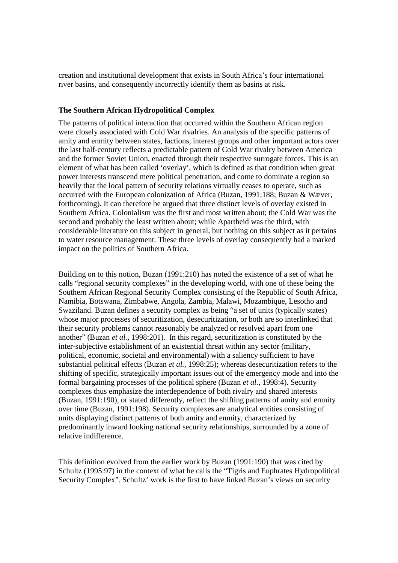creation and institutional development that exists in South Africa's four international river basins, and consequently incorrectly identify them as basins at risk.

# **The Southern African Hydropolitical Complex**

The patterns of political interaction that occurred within the Southern African region were closely associated with Cold War rivalries. An analysis of the specific patterns of amity and enmity between states, factions, interest groups and other important actors over the last half-century reflects a predictable pattern of Cold War rivalry between America and the former Soviet Union, enacted through their respective surrogate forces. This is an element of what has been called 'overlay', which is defined as that condition when great power interests transcend mere political penetration, and come to dominate a region so heavily that the local pattern of security relations virtually ceases to operate, such as occurred with the European colonization of Africa (Buzan, 1991:188; Buzan & Wæver, forthcoming). It can therefore be argued that three distinct levels of overlay existed in Southern Africa. Colonialism was the first and most written about; the Cold War was the second and probably the least written about; while Apartheid was the third, with considerable literature on this subject in general, but nothing on this subject as it pertains to water resource management. These three levels of overlay consequently had a marked impact on the politics of Southern Africa.

Building on to this notion, Buzan (1991:210) has noted the existence of a set of what he calls "regional security complexes" in the developing world, with one of these being the Southern African Regional Security Complex consisting of the Republic of South Africa, Namibia, Botswana, Zimbabwe, Angola, Zambia, Malawi, Mozambique, Lesotho and Swaziland. Buzan defines a security complex as being "a set of units (typically states) whose major processes of securitization, desecuritization, or both are so interlinked that their security problems cannot reasonably be analyzed or resolved apart from one another" (Buzan *et al.,* 1998:201). In this regard, securitization is constituted by the inter-subjective establishment of an existential threat within any sector (military, political, economic, societal and environmental) with a saliency sufficient to have substantial political effects (Buzan *et al.,* 1998:25); whereas desecuritization refers to the shifting of specific, strategically important issues out of the emergency mode and into the formal bargaining processes of the political sphere (Buzan *et al.,* 1998:4). Security complexes thus emphasize the interdependence of both rivalry and shared interests (Buzan, 1991:190), or stated differently, reflect the shifting patterns of amity and enmity over time (Buzan, 1991:198). Security complexes are analytical entities consisting of units displaying distinct patterns of both amity and enmity, characterized by predominantly inward looking national security relationships, surrounded by a zone of relative indifference.

This definition evolved from the earlier work by Buzan (1991:190) that was cited by Schultz (1995:97) in the context of what he calls the "Tigris and Euphrates Hydropolitical Security Complex". Schultz' work is the first to have linked Buzan's views on security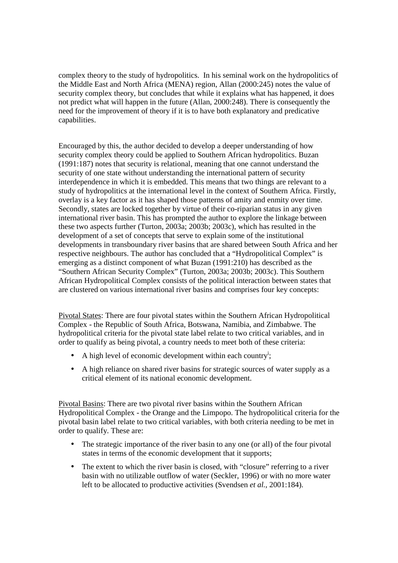complex theory to the study of hydropolitics. In his seminal work on the hydropolitics of the Middle East and North Africa (MENA) region, Allan (2000:245) notes the value of security complex theory, but concludes that while it explains what has happened, it does not predict what will happen in the future (Allan, 2000:248). There is consequently the need for the improvement of theory if it is to have both explanatory and predicative capabilities.

Encouraged by this, the author decided to develop a deeper understanding of how security complex theory could be applied to Southern African hydropolitics. Buzan (1991:187) notes that security is relational, meaning that one cannot understand the security of one state without understanding the international pattern of security interdependence in which it is embedded. This means that two things are relevant to a study of hydropolitics at the international level in the context of Southern Africa. Firstly, overlay is a key factor as it has shaped those patterns of amity and enmity over time. Secondly, states are locked together by virtue of their co-riparian status in any given international river basin. This has prompted the author to explore the linkage between these two aspects further (Turton, 2003a; 2003b; 2003c), which has resulted in the development of a set of concepts that serve to explain some of the institutional developments in transboundary river basins that are shared between South Africa and her respective neighbours. The author has concluded that a "Hydropolitical Complex" is emerging as a distinct component of what Buzan (1991:210) has described as the "Southern African Security Complex" (Turton, 2003a; 2003b; 2003c). This Southern African Hydropolitical Complex consists of the political interaction between states that are clustered on various international river basins and comprises four key concepts:

Pivotal States: There are four pivotal states within the Southern African Hydropolitical Complex - the Republic of South Africa, Botswana, Namibia, and Zimbabwe. The hydropolitical criteria for the pivotal state label relate to two critical variables, and in order to qualify as being pivotal, a country needs to meet both of these criteria:

- A high level of economic development within each country<sup>i</sup>;
- A high reliance on shared river basins for strategic sources of water supply as a critical element of its national economic development.

Pivotal Basins: There are two pivotal river basins within the Southern African Hydropolitical Complex - the Orange and the Limpopo. The hydropolitical criteria for the pivotal basin label relate to two critical variables, with both criteria needing to be met in order to qualify. These are:

- The strategic importance of the river basin to any one (or all) of the four pivotal states in terms of the economic development that it supports;
- The extent to which the river basin is closed, with "closure" referring to a river basin with no utilizable outflow of water (Seckler, 1996) or with no more water left to be allocated to productive activities (Svendsen *et al.,* 2001:184).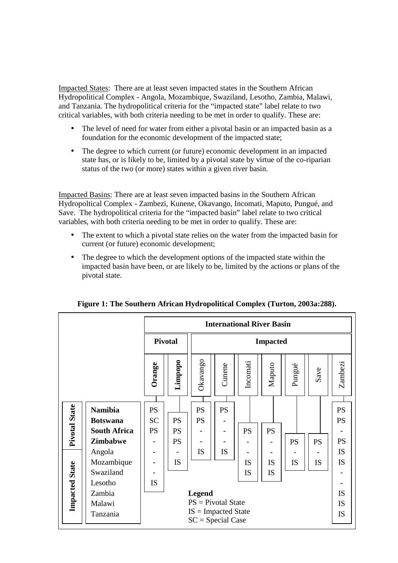Impacted States: There are at least seven impacted states in the Southern African Hydropolitical Complex - Angola, Mozambique, Swaziland, Lesotho, Zambia, Malawi, and Tanzania. The hydropolitical criteria for the "impacted state" label relate to two critical variables, with both criteria needing to be met in order to qualify. These are:

- The level of need for water from either a pivotal basin or an impacted basin as a foundation for the economic development of the impacted state;
- The degree to which current (or future) economic development in an impacted state has, or is likely to be, limited by a pivotal state by virtue of the co-riparian status of the two (or more) states within a given river basin.

Impacted Basins: There are at least seven impacted basins in the Southern African Hydropoltical Complex - Zambezi, Kunene, Okavango, Incomati, Maputo, Pungué, and Save. The hydropolitical criteria for the "impacted basin" label relate to two critical variables, with both criteria needing to be met in order to qualify. These are:

- The extent to which a pivotal state relies on the water from the impacted basin for current (or future) economic development;
- The degree to which the development options of the impacted state within the impacted basin have been, or are likely to be, limited by the actions or plans of the pivotal state.

|                       |                                                                              | <b>International River Basin</b>    |                                     |                                                                                                    |           |           |                 |           |           |                                          |
|-----------------------|------------------------------------------------------------------------------|-------------------------------------|-------------------------------------|----------------------------------------------------------------------------------------------------|-----------|-----------|-----------------|-----------|-----------|------------------------------------------|
|                       |                                                                              | <b>Pivotal</b>                      |                                     | <b>Impacted</b>                                                                                    |           |           |                 |           |           |                                          |
|                       |                                                                              | Orange                              | Limpopo                             | Okavango                                                                                           | Cunene    | Incomati  | Maputo          | Pungué    | Save      | Zambezi                                  |
| <b>Pivotal State</b>  | <b>Namibia</b><br><b>Botswana</b><br><b>South Africa</b><br>Zimbabwe         | <b>PS</b><br><b>SC</b><br><b>PS</b> | <b>PS</b><br><b>PS</b><br><b>PS</b> | <b>PS</b><br><b>PS</b>                                                                             | <b>PS</b> | <b>PS</b> | <b>PS</b>       | <b>PS</b> | <b>PS</b> | <b>PS</b><br><b>PS</b><br><b>PS</b>      |
| <b>Impacted State</b> | Angola<br>Mozambique<br>Swaziland<br>Lesotho<br>Zambia<br>Malawi<br>Tanzania | IS                                  | IS                                  | IS<br><b>Legend</b><br>$PS = Pivotal State$<br>$IS = \text{Impacted State}$<br>$SC = Special Case$ | IS        | IS<br>IS  | IS<br><b>IS</b> | IS        | IS        | <b>IS</b><br>IS<br>IS<br><b>IS</b><br>IS |

**Figure 1: The Southern African Hydropolitical Complex (Turton, 2003a:288).**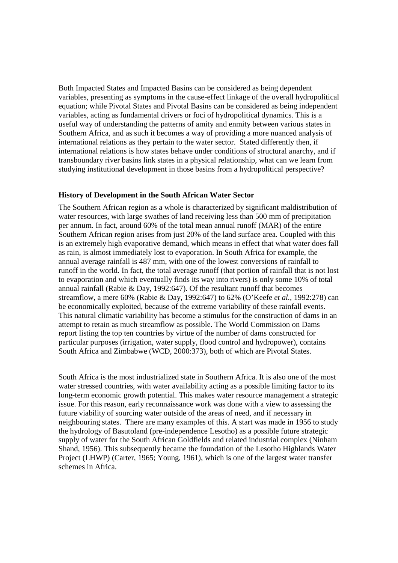Both Impacted States and Impacted Basins can be considered as being dependent variables, presenting as symptoms in the cause-effect linkage of the overall hydropolitical equation; while Pivotal States and Pivotal Basins can be considered as being independent variables, acting as fundamental drivers or foci of hydropolitical dynamics. This is a useful way of understanding the patterns of amity and enmity between various states in Southern Africa, and as such it becomes a way of providing a more nuanced analysis of international relations as they pertain to the water sector. Stated differently then, if international relations is how states behave under conditions of structural anarchy, and if transboundary river basins link states in a physical relationship, what can we learn from studying institutional development in those basins from a hydropolitical perspective?

## **History of Development in the South African Water Sector**

The Southern African region as a whole is characterized by significant maldistribution of water resources, with large swathes of land receiving less than 500 mm of precipitation per annum. In fact, around 60% of the total mean annual runoff (MAR) of the entire Southern African region arises from just 20% of the land surface area. Coupled with this is an extremely high evaporative demand, which means in effect that what water does fall as rain, is almost immediately lost to evaporation. In South Africa for example, the annual average rainfall is 487 mm, with one of the lowest conversions of rainfall to runoff in the world. In fact, the total average runoff (that portion of rainfall that is not lost to evaporation and which eventually finds its way into rivers) is only some 10% of total annual rainfall (Rabie & Day, 1992:647). Of the resultant runoff that becomes streamflow, a mere 60% (Rabie & Day, 1992:647) to 62% (O'Keefe *et al.,* 1992:278) can be economically exploited, because of the extreme variability of these rainfall events. This natural climatic variability has become a stimulus for the construction of dams in an attempt to retain as much streamflow as possible. The World Commission on Dams report listing the top ten countries by virtue of the number of dams constructed for particular purposes (irrigation, water supply, flood control and hydropower), contains South Africa and Zimbabwe (WCD, 2000:373), both of which are Pivotal States.

South Africa is the most industrialized state in Southern Africa. It is also one of the most water stressed countries, with water availability acting as a possible limiting factor to its long-term economic growth potential. This makes water resource management a strategic issue. For this reason, early reconnaissance work was done with a view to assessing the future viability of sourcing water outside of the areas of need, and if necessary in neighbouring states. There are many examples of this. A start was made in 1956 to study the hydrology of Basutoland (pre-independence Lesotho) as a possible future strategic supply of water for the South African Goldfields and related industrial complex (Ninham Shand, 1956). This subsequently became the foundation of the Lesotho Highlands Water Project (LHWP) (Carter, 1965; Young, 1961), which is one of the largest water transfer schemes in Africa.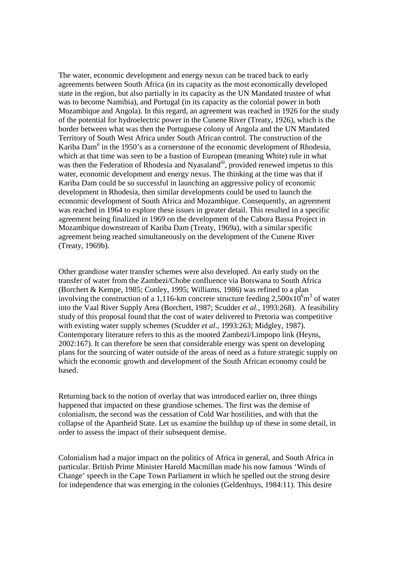The water, economic development and energy nexus can be traced back to early agreements between South Africa (in its capacity as the most economically developed state in the region, but also partially in its capacity as the UN Mandated trustee of what was to become Namibia), and Portugal (in its capacity as the colonial power in both Mozambique and Angola). In this regard, an agreement was reached in 1926 for the study of the potential for hydroelectric power in the Cunene River (Treaty, 1926), which is the border between what was then the Portuguese colony of Angola and the UN Mandated Territory of South West Africa under South African control. The construction of the Kariba Dam<sup>ii</sup> in the 1950's as a cornerstone of the economic development of Rhodesia, which at that time was seen to be a bastion of European (meaning White) rule in what was then the Federation of Rhodesia and Nyasaland<sup>iii</sup>, provided renewed impetus to this water, economic development and energy nexus. The thinking at the time was that if Kariba Dam could be so successful in launching an aggressive policy of economic development in Rhodesia, then similar developments could be used to launch the economic development of South Africa and Mozambique. Consequently, an agreement was reached in 1964 to explore these issues in greater detail. This resulted in a specific agreement being finalized in 1969 on the development of the Cabora Bassa Project in Mozambique downstream of Kariba Dam (Treaty, 1969a), with a similar specific agreement being reached simultaneously on the development of the Cunene River (Treaty, 1969b).

Other grandiose water transfer schemes were also developed. An early study on the transfer of water from the Zambezi/Chobe confluence via Botswana to South Africa (Borchert & Kempe, 1985; Conley, 1995; Williams, 1986) was refined to a plan involving the construction of a 1,116-km concrete structure feeding  $2,500 \times 10^6$  m<sup>3</sup> of water into the Vaal River Supply Area (Borchert, 1987; Scudder *et al.,* 1993:268). A feasibility study of this proposal found that the cost of water delivered to Pretoria was competitive with existing water supply schemes (Scudder *et al.,* 1993:263; Midgley, 1987). Contemporary literature refers to this as the mooted Zambezi/Limpopo link (Heyns, 2002:167). It can therefore be seen that considerable energy was spent on developing plans for the sourcing of water outside of the areas of need as a future strategic supply on which the economic growth and development of the South African economy could be based.

Returning back to the notion of overlay that was introduced earlier on, three things happened that impacted on these grandiose schemes. The first was the demise of colonialism, the second was the cessation of Cold War hostilities, and with that the collapse of the Apartheid State. Let us examine the buildup up of these in some detail, in order to assess the impact of their subsequent demise.

Colonialism had a major impact on the politics of Africa in general, and South Africa in particular. British Prime Minister Harold Macmillan made his now famous 'Winds of Change' speech in the Cape Town Parliament in which he spelled out the strong desire for independence that was emerging in the colonies (Geldenhuys, 1984:11). This desire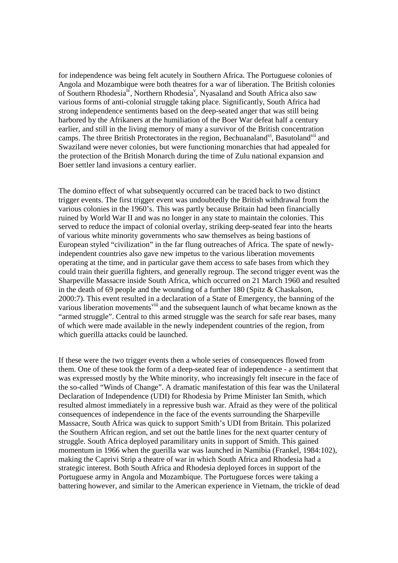for independence was being felt acutely in Southern Africa. The Portuguese colonies of Angola and Mozambique were both theatres for a war of liberation. The British colonies of Southern Rhodesia<sup>iv</sup>, Northern Rhodesia<sup>v</sup>, Nyasaland and South Africa also saw various forms of anti-colonial struggle taking place. Significantly, South Africa had strong independence sentiments based on the deep-seated anger that was still being harbored by the Afrikaners at the humiliation of the Boer War defeat half a century earlier, and still in the living memory of many a survivor of the British concentration camps. The three British Protectorates in the region, Bechuanaland<sup>vi</sup>, Basutoland<sup>vii</sup> and Swaziland were never colonies, but were functioning monarchies that had appealed for the protection of the British Monarch during the time of Zulu national expansion and Boer settler land invasions a century earlier.

The domino effect of what subsequently occurred can be traced back to two distinct trigger events. The first trigger event was undoubtedly the British withdrawal from the various colonies in the 1960's. This was partly because Britain had been financially ruined by World War II and was no longer in any state to maintain the colonies. This served to reduce the impact of colonial overlay, striking deep-seated fear into the hearts of various white minority governments who saw themselves as being bastions of European styled "civilization" in the far flung outreaches of Africa. The spate of newlyindependent countries also gave new impetus to the various liberation movements operating at the time, and in particular gave them access to safe bases from which they could train their guerilla fighters, and generally regroup. The second trigger event was the Sharpeville Massacre inside South Africa, which occurred on 21 March 1960 and resulted in the death of 69 people and the wounding of a further 180 (Spitz & Chaskalson, 2000:7). This event resulted in a declaration of a State of Emergency, the banning of the various liberation movements<sup>viii</sup> and the subsequent launch of what became known as the "armed struggle". Central to this armed struggle was the search for safe rear bases, many of which were made available in the newly independent countries of the region, from which guerilla attacks could be launched.

If these were the two trigger events then a whole series of consequences flowed from them. One of these took the form of a deep-seated fear of independence - a sentiment that was expressed mostly by the White minority, who increasingly felt insecure in the face of the so-called "Winds of Change". A dramatic manifestation of this fear was the Unilateral Declaration of Independence (UDI) for Rhodesia by Prime Minister Ian Smith, which resulted almost immediately in a repressive bush war. Afraid as they were of the political consequences of independence in the face of the events surrounding the Sharpeville Massacre, South Africa was quick to support Smith's UDI from Britain. This polarized the Southern African region, and set out the battle lines for the next quarter century of struggle. South Africa deployed paramilitary units in support of Smith. This gained momentum in 1966 when the guerilla war was launched in Namibia (Frankel, 1984:102), making the Caprivi Strip a theatre of war in which South Africa and Rhodesia had a strategic interest. Both South Africa and Rhodesia deployed forces in support of the Portuguese army in Angola and Mozambique. The Portuguese forces were taking a battering however, and similar to the American experience in Vietnam, the trickle of dead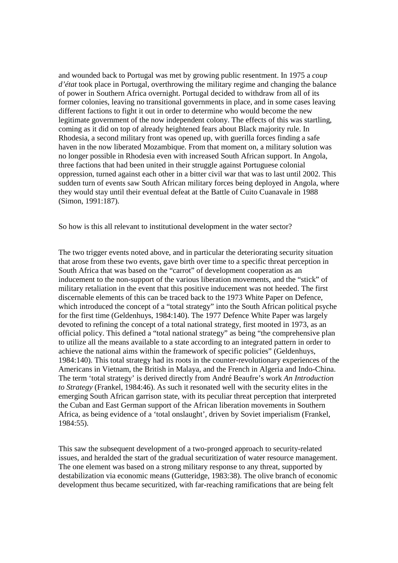and wounded back to Portugal was met by growing public resentment. In 1975 a *coup d'état* took place in Portugal, overthrowing the military regime and changing the balance of power in Southern Africa overnight. Portugal decided to withdraw from all of its former colonies, leaving no transitional governments in place, and in some cases leaving different factions to fight it out in order to determine who would become the new legitimate government of the now independent colony. The effects of this was startling, coming as it did on top of already heightened fears about Black majority rule. In Rhodesia, a second military front was opened up, with guerilla forces finding a safe haven in the now liberated Mozambique. From that moment on, a military solution was no longer possible in Rhodesia even with increased South African support. In Angola, three factions that had been united in their struggle against Portuguese colonial oppression, turned against each other in a bitter civil war that was to last until 2002. This sudden turn of events saw South African military forces being deployed in Angola, where they would stay until their eventual defeat at the Battle of Cuito Cuanavale in 1988 (Simon, 1991:187).

So how is this all relevant to institutional development in the water sector?

The two trigger events noted above, and in particular the deteriorating security situation that arose from these two events, gave birth over time to a specific threat perception in South Africa that was based on the "carrot" of development cooperation as an inducement to the non-support of the various liberation movements, and the "stick" of military retaliation in the event that this positive inducement was not heeded. The first discernable elements of this can be traced back to the 1973 White Paper on Defence, which introduced the concept of a "total strategy" into the South African political psyche for the first time (Geldenhuys, 1984:140). The 1977 Defence White Paper was largely devoted to refining the concept of a total national strategy, first mooted in 1973, as an official policy. This defined a "total national strategy" as being "the comprehensive plan to utilize all the means available to a state according to an integrated pattern in order to achieve the national aims within the framework of specific policies" (Geldenhuys, 1984:140). This total strategy had its roots in the counter-revolutionary experiences of the Americans in Vietnam, the British in Malaya, and the French in Algeria and Indo-China. The term 'total strategy' is derived directly from André Beaufre's work *An Introduction to Strategy* (Frankel, 1984:46). As such it resonated well with the security elites in the emerging South African garrison state, with its peculiar threat perception that interpreted the Cuban and East German support of the African liberation movements in Southern Africa, as being evidence of a 'total onslaught', driven by Soviet imperialism (Frankel, 1984:55).

This saw the subsequent development of a two-pronged approach to security-related issues, and heralded the start of the gradual securitization of water resource management. The one element was based on a strong military response to any threat, supported by destabilization via economic means (Gutteridge, 1983:38). The olive branch of economic development thus became securitized, with far-reaching ramifications that are being felt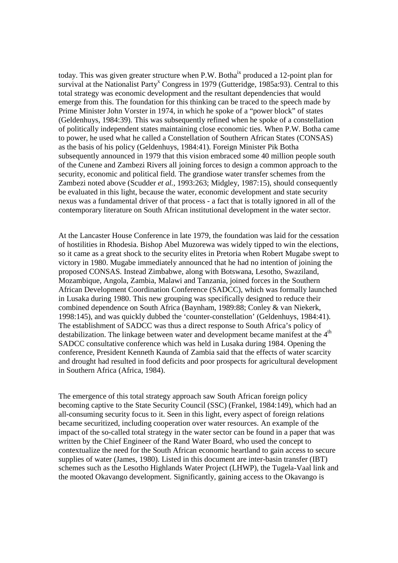today. This was given greater structure when P.W. Botha<sup>ix</sup> produced a 12-point plan for survival at the Nationalist Party<sup>x</sup> Congress in 1979 (Gutteridge, 1985a:93). Central to this total strategy was economic development and the resultant dependencies that would emerge from this. The foundation for this thinking can be traced to the speech made by Prime Minister John Vorster in 1974, in which he spoke of a "power block" of states (Geldenhuys, 1984:39). This was subsequently refined when he spoke of a constellation of politically independent states maintaining close economic ties. When P.W. Botha came to power, he used what he called a Constellation of Southern African States (CONSAS) as the basis of his policy (Geldenhuys, 1984:41). Foreign Minister Pik Botha subsequently announced in 1979 that this vision embraced some 40 million people south of the Cunene and Zambezi Rivers all joining forces to design a common approach to the security, economic and political field. The grandiose water transfer schemes from the Zambezi noted above (Scudder *et al.,* 1993:263; Midgley, 1987:15), should consequently be evaluated in this light, because the water, economic development and state security nexus was a fundamental driver of that process - a fact that is totally ignored in all of the contemporary literature on South African institutional development in the water sector.

At the Lancaster House Conference in late 1979, the foundation was laid for the cessation of hostilities in Rhodesia. Bishop Abel Muzorewa was widely tipped to win the elections, so it came as a great shock to the security elites in Pretoria when Robert Mugabe swept to victory in 1980. Mugabe immediately announced that he had no intention of joining the proposed CONSAS. Instead Zimbabwe, along with Botswana, Lesotho, Swaziland, Mozambique, Angola, Zambia, Malawi and Tanzania, joined forces in the Southern African Development Coordination Conference (SADCC), which was formally launched in Lusaka during 1980. This new grouping was specifically designed to reduce their combined dependence on South Africa (Baynham, 1989:88; Conley & van Niekerk, 1998:145), and was quickly dubbed the 'counter-constellation' (Geldenhuys, 1984:41). The establishment of SADCC was thus a direct response to South Africa's policy of destabilization. The linkage between water and development became manifest at the 4<sup>th</sup> SADCC consultative conference which was held in Lusaka during 1984. Opening the conference, President Kenneth Kaunda of Zambia said that the effects of water scarcity and drought had resulted in food deficits and poor prospects for agricultural development in Southern Africa (Africa, 1984).

The emergence of this total strategy approach saw South African foreign policy becoming captive to the State Security Council (SSC) (Frankel, 1984:149), which had an all-consuming security focus to it. Seen in this light, every aspect of foreign relations became securitized, including cooperation over water resources. An example of the impact of the so-called total strategy in the water sector can be found in a paper that was written by the Chief Engineer of the Rand Water Board, who used the concept to contextualize the need for the South African economic heartland to gain access to secure supplies of water (James, 1980). Listed in this document are inter-basin transfer (IBT) schemes such as the Lesotho Highlands Water Project (LHWP), the Tugela-Vaal link and the mooted Okavango development. Significantly, gaining access to the Okavango is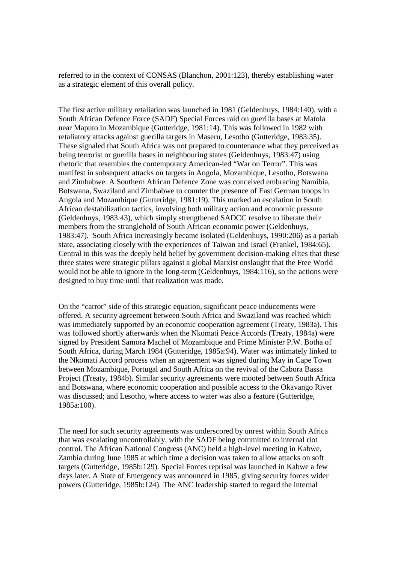referred to in the context of CONSAS (Blanchon, 2001:123), thereby establishing water as a strategic element of this overall policy.

The first active military retaliation was launched in 1981 (Geldenhuys, 1984:140), with a South African Defence Force (SADF) Special Forces raid on guerilla bases at Matola near Maputo in Mozambique (Gutteridge, 1981:14). This was followed in 1982 with retaliatory attacks against guerilla targets in Maseru, Lesotho (Gutteridge, 1983:35). These signaled that South Africa was not prepared to countenance what they perceived as being terrorist or guerilla bases in neighbouring states (Geldenhuys, 1983:47) using rhetoric that resembles the contemporary American-led "War on Terror". This was manifest in subsequent attacks on targets in Angola, Mozambique, Lesotho, Botswana and Zimbabwe. A Southern African Defence Zone was conceived embracing Namibia, Botswana, Swaziland and Zimbabwe to counter the presence of East German troops in Angola and Mozambique (Gutteridge, 1981:19). This marked an escalation in South African destabilization tactics, involving both military action and economic pressure (Geldenhuys, 1983:43), which simply strengthened SADCC resolve to liberate their members from the stranglehold of South African economic power (Geldenhuys, 1983:47). South Africa increasingly became isolated (Geldenhuys, 1990:206) as a pariah state, associating closely with the experiences of Taiwan and Israel (Frankel, 1984:65). Central to this was the deeply held belief by government decision-making elites that these three states were strategic pillars against a global Marxist onslaught that the Free World would not be able to ignore in the long-term (Geldenhuys, 1984:116), so the actions were designed to buy time until that realization was made.

On the "carrot" side of this strategic equation, significant peace inducements were offered. A security agreement between South Africa and Swaziland was reached which was immediately supported by an economic cooperation agreement (Treaty, 1983a). This was followed shortly afterwards when the Nkomati Peace Accords (Treaty, 1984a) were signed by President Samora Machel of Mozambique and Prime Minister P.W. Botha of South Africa, during March 1984 (Gutteridge, 1985a:94). Water was intimately linked to the Nkomati Accord process when an agreement was signed during May in Cape Town between Mozambique, Portugal and South Africa on the revival of the Cabora Bassa Project (Treaty, 1984b). Similar security agreements were mooted between South Africa and Botswana, where economic cooperation and possible access to the Okavango River was discussed; and Lesotho, where access to water was also a feature (Gutteridge, 1985a:100).

The need for such security agreements was underscored by unrest within South Africa that was escalating uncontrollably, with the SADF being committed to internal riot control. The African National Congress (ANC) held a high-level meeting in Kabwe, Zambia during June 1985 at which time a decision was taken to allow attacks on soft targets (Gutteridge, 1985b:129). Special Forces reprisal was launched in Kabwe a few days later. A State of Emergency was announced in 1985, giving security forces wider powers (Gutteridge, 1985b:124). The ANC leadership started to regard the internal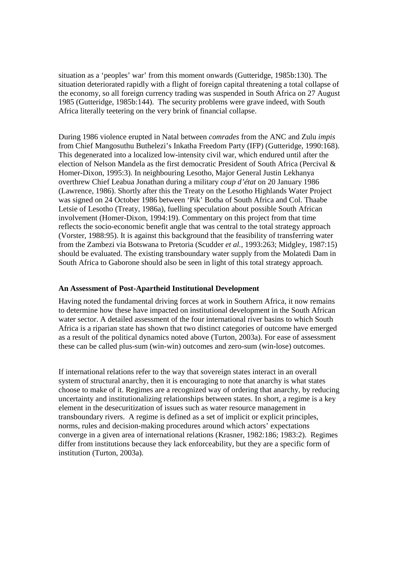situation as a 'peoples' war' from this moment onwards (Gutteridge, 1985b:130). The situation deteriorated rapidly with a flight of foreign capital threatening a total collapse of the economy, so all foreign currency trading was suspended in South Africa on 27 August 1985 (Gutteridge, 1985b:144). The security problems were grave indeed, with South Africa literally teetering on the very brink of financial collapse.

During 1986 violence erupted in Natal between *comrades* from the ANC and Zulu *impis* from Chief Mangosuthu Buthelezi's Inkatha Freedom Party (IFP) (Gutteridge, 1990:168). This degenerated into a localized low-intensity civil war, which endured until after the election of Nelson Mandela as the first democratic President of South Africa (Percival & Homer-Dixon, 1995:3). In neighbouring Lesotho, Major General Justin Lekhanya overthrew Chief Leabua Jonathan during a military *coup d'état* on 20 January 1986 (Lawrence, 1986). Shortly after this the Treaty on the Lesotho Highlands Water Project was signed on 24 October 1986 between 'Pik' Botha of South Africa and Col. Thaabe Letsie of Lesotho (Treaty, 1986a), fuelling speculation about possible South African involvement (Homer-Dixon, 1994:19). Commentary on this project from that time reflects the socio-economic benefit angle that was central to the total strategy approach (Vorster, 1988:95). It is against this background that the feasibility of transferring water from the Zambezi via Botswana to Pretoria (Scudder *et al.,* 1993:263; Midgley, 1987:15) should be evaluated. The existing transboundary water supply from the Molatedi Dam in South Africa to Gaborone should also be seen in light of this total strategy approach.

## **An Assessment of Post-Apartheid Institutional Development**

Having noted the fundamental driving forces at work in Southern Africa, it now remains to determine how these have impacted on institutional development in the South African water sector. A detailed assessment of the four international river basins to which South Africa is a riparian state has shown that two distinct categories of outcome have emerged as a result of the political dynamics noted above (Turton, 2003a). For ease of assessment these can be called plus-sum (win-win) outcomes and zero-sum (win-lose) outcomes.

If international relations refer to the way that sovereign states interact in an overall system of structural anarchy, then it is encouraging to note that anarchy is what states choose to make of it. Regimes are a recognized way of ordering that anarchy, by reducing uncertainty and institutionalizing relationships between states. In short, a regime is a key element in the desecuritization of issues such as water resource management in transboundary rivers. A regime is defined as a set of implicit or explicit principles, norms, rules and decision-making procedures around which actors' expectations converge in a given area of international relations (Krasner, 1982:186; 1983:2). Regimes differ from institutions because they lack enforceability, but they are a specific form of institution (Turton, 2003a).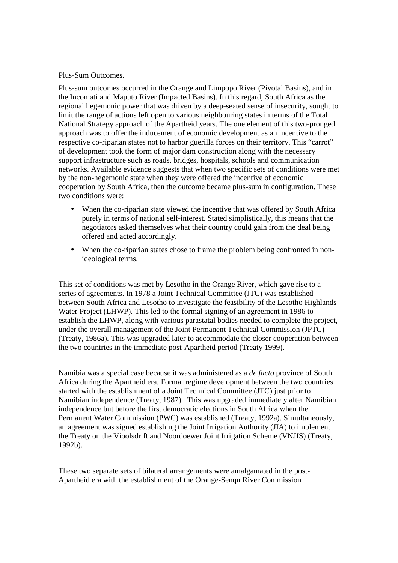#### Plus-Sum Outcomes.

Plus-sum outcomes occurred in the Orange and Limpopo River (Pivotal Basins), and in the Incomati and Maputo River (Impacted Basins). In this regard, South Africa as the regional hegemonic power that was driven by a deep-seated sense of insecurity, sought to limit the range of actions left open to various neighbouring states in terms of the Total National Strategy approach of the Apartheid years. The one element of this two-pronged approach was to offer the inducement of economic development as an incentive to the respective co-riparian states not to harbor guerilla forces on their territory. This "carrot" of development took the form of major dam construction along with the necessary support infrastructure such as roads, bridges, hospitals, schools and communication networks. Available evidence suggests that when two specific sets of conditions were met by the non-hegemonic state when they were offered the incentive of economic cooperation by South Africa, then the outcome became plus-sum in configuration. These two conditions were:

- When the co-riparian state viewed the incentive that was offered by South Africa purely in terms of national self-interest. Stated simplistically, this means that the negotiators asked themselves what their country could gain from the deal being offered and acted accordingly.
- When the co-riparian states chose to frame the problem being confronted in nonideological terms.

This set of conditions was met by Lesotho in the Orange River, which gave rise to a series of agreements. In 1978 a Joint Technical Committee (JTC) was established between South Africa and Lesotho to investigate the feasibility of the Lesotho Highlands Water Project (LHWP). This led to the formal signing of an agreement in 1986 to establish the LHWP, along with various parastatal bodies needed to complete the project, under the overall management of the Joint Permanent Technical Commission (JPTC) (Treaty, 1986a). This was upgraded later to accommodate the closer cooperation between the two countries in the immediate post-Apartheid period (Treaty 1999).

Namibia was a special case because it was administered as a *de facto* province of South Africa during the Apartheid era. Formal regime development between the two countries started with the establishment of a Joint Technical Committee (JTC) just prior to Namibian independence (Treaty, 1987). This was upgraded immediately after Namibian independence but before the first democratic elections in South Africa when the Permanent Water Commission (PWC) was established (Treaty, 1992a). Simultaneously, an agreement was signed establishing the Joint Irrigation Authority (JIA) to implement the Treaty on the Vioolsdrift and Noordoewer Joint Irrigation Scheme (VNJIS) (Treaty, 1992b).

These two separate sets of bilateral arrangements were amalgamated in the post-Apartheid era with the establishment of the Orange-Senqu River Commission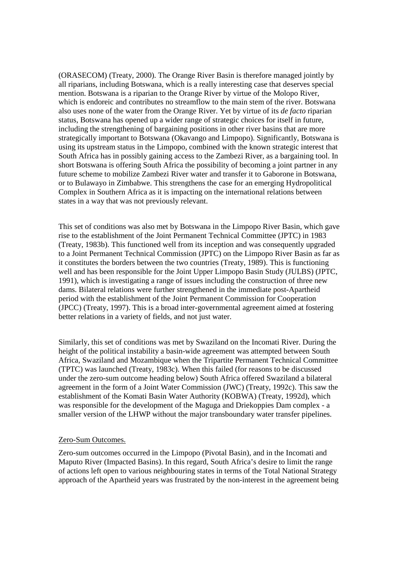(ORASECOM) (Treaty, 2000). The Orange River Basin is therefore managed jointly by all riparians, including Botswana, which is a really interesting case that deserves special mention. Botswana is a riparian to the Orange River by virtue of the Molopo River, which is endoreic and contributes no streamflow to the main stem of the river. Botswana also uses none of the water from the Orange River. Yet by virtue of its *de facto* riparian status, Botswana has opened up a wider range of strategic choices for itself in future, including the strengthening of bargaining positions in other river basins that are more strategically important to Botswana (Okavango and Limpopo). Significantly, Botswana is using its upstream status in the Limpopo, combined with the known strategic interest that South Africa has in possibly gaining access to the Zambezi River, as a bargaining tool. In short Botswana is offering South Africa the possibility of becoming a joint partner in any future scheme to mobilize Zambezi River water and transfer it to Gaborone in Botswana, or to Bulawayo in Zimbabwe. This strengthens the case for an emerging Hydropolitical Complex in Southern Africa as it is impacting on the international relations between states in a way that was not previously relevant.

This set of conditions was also met by Botswana in the Limpopo River Basin, which gave rise to the establishment of the Joint Permanent Technical Committee (JPTC) in 1983 (Treaty, 1983b). This functioned well from its inception and was consequently upgraded to a Joint Permanent Technical Commission (JPTC) on the Limpopo River Basin as far as it constitutes the borders between the two countries (Treaty, 1989). This is functioning well and has been responsible for the Joint Upper Limpopo Basin Study (JULBS) (JPTC, 1991), which is investigating a range of issues including the construction of three new dams. Bilateral relations were further strengthened in the immediate post-Apartheid period with the establishment of the Joint Permanent Commission for Cooperation (JPCC) (Treaty, 1997). This is a broad inter-governmental agreement aimed at fostering better relations in a variety of fields, and not just water.

Similarly, this set of conditions was met by Swaziland on the Incomati River. During the height of the political instability a basin-wide agreement was attempted between South Africa, Swaziland and Mozambique when the Tripartite Permanent Technical Committee (TPTC) was launched (Treaty, 1983c). When this failed (for reasons to be discussed under the zero-sum outcome heading below) South Africa offered Swaziland a bilateral agreement in the form of a Joint Water Commission (JWC) (Treaty, 1992c). This saw the establishment of the Komati Basin Water Authority (KOBWA) (Treaty, 1992d), which was responsible for the development of the Maguga and Driekoppies Dam complex - a smaller version of the LHWP without the major transboundary water transfer pipelines.

## Zero-Sum Outcomes.

Zero-sum outcomes occurred in the Limpopo (Pivotal Basin), and in the Incomati and Maputo River (Impacted Basins). In this regard, South Africa's desire to limit the range of actions left open to various neighbouring states in terms of the Total National Strategy approach of the Apartheid years was frustrated by the non-interest in the agreement being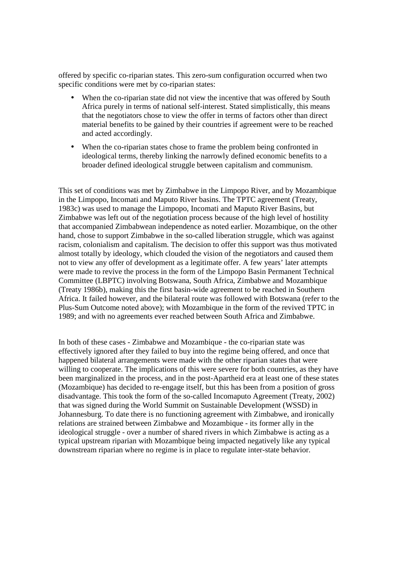offered by specific co-riparian states. This zero-sum configuration occurred when two specific conditions were met by co-riparian states:

- When the co-riparian state did not view the incentive that was offered by South Africa purely in terms of national self-interest. Stated simplistically, this means that the negotiators chose to view the offer in terms of factors other than direct material benefits to be gained by their countries if agreement were to be reached and acted accordingly.
- When the co-riparian states chose to frame the problem being confronted in ideological terms, thereby linking the narrowly defined economic benefits to a broader defined ideological struggle between capitalism and communism.

This set of conditions was met by Zimbabwe in the Limpopo River, and by Mozambique in the Limpopo, Incomati and Maputo River basins. The TPTC agreement (Treaty, 1983c) was used to manage the Limpopo, Incomati and Maputo River Basins, but Zimbabwe was left out of the negotiation process because of the high level of hostility that accompanied Zimbabwean independence as noted earlier. Mozambique, on the other hand, chose to support Zimbabwe in the so-called liberation struggle, which was against racism, colonialism and capitalism. The decision to offer this support was thus motivated almost totally by ideology, which clouded the vision of the negotiators and caused them not to view any offer of development as a legitimate offer. A few years' later attempts were made to revive the process in the form of the Limpopo Basin Permanent Technical Committee (LBPTC) involving Botswana, South Africa, Zimbabwe and Mozambique (Treaty 1986b), making this the first basin-wide agreement to be reached in Southern Africa. It failed however, and the bilateral route was followed with Botswana (refer to the Plus-Sum Outcome noted above); with Mozambique in the form of the revived TPTC in 1989; and with no agreements ever reached between South Africa and Zimbabwe.

In both of these cases - Zimbabwe and Mozambique - the co-riparian state was effectively ignored after they failed to buy into the regime being offered, and once that happened bilateral arrangements were made with the other riparian states that were willing to cooperate. The implications of this were severe for both countries, as they have been marginalized in the process, and in the post-Apartheid era at least one of these states (Mozambique) has decided to re-engage itself, but this has been from a position of gross disadvantage. This took the form of the so-called Incomaputo Agreement (Treaty, 2002) that was signed during the World Summit on Sustainable Development (WSSD) in Johannesburg. To date there is no functioning agreement with Zimbabwe, and ironically relations are strained between Zimbabwe and Mozambique - its former ally in the ideological struggle - over a number of shared rivers in which Zimbabwe is acting as a typical upstream riparian with Mozambique being impacted negatively like any typical downstream riparian where no regime is in place to regulate inter-state behavior.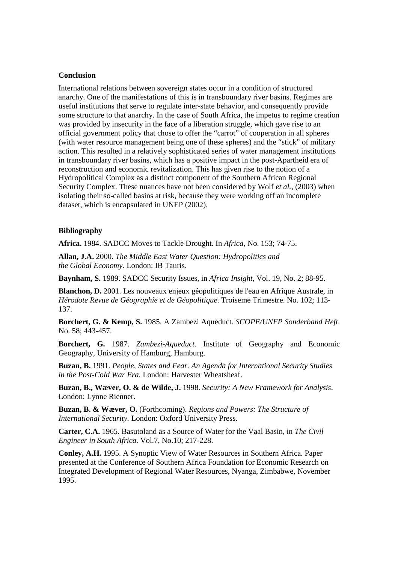# **Conclusion**

International relations between sovereign states occur in a condition of structured anarchy. One of the manifestations of this is in transboundary river basins. Regimes are useful institutions that serve to regulate inter-state behavior, and consequently provide some structure to that anarchy. In the case of South Africa, the impetus to regime creation was provided by insecurity in the face of a liberation struggle, which gave rise to an official government policy that chose to offer the "carrot" of cooperation in all spheres (with water resource management being one of these spheres) and the "stick" of military action. This resulted in a relatively sophisticated series of water management institutions in transboundary river basins, which has a positive impact in the post-Apartheid era of reconstruction and economic revitalization. This has given rise to the notion of a Hydropolitical Complex as a distinct component of the Southern African Regional Security Complex. These nuances have not been considered by Wolf *et al.,* (2003) when isolating their so-called basins at risk, because they were working off an incomplete dataset, which is encapsulated in UNEP (2002).

#### **Bibliography**

**Africa.** 1984. SADCC Moves to Tackle Drought. In *Africa*, No. 153; 74-75.

**Allan, J.A.** 2000. *The Middle East Water Question: Hydropolitics and the Global Economy.* London: IB Tauris.

**Baynham, S.** 1989. SADCC Security Issues, in *Africa Insight*, Vol. 19, No. 2; 88-95.

**Blanchon, D.** 2001. Les nouveaux enjeux géopolitiques de l'eau en Afrique Australe, in *Hérodote Revue de Géographie et de Géopolitique*. Troiseme Trimestre. No. 102; 113- 137.

**Borchert, G. & Kemp, S.** 1985. A Zambezi Aqueduct. *SCOPE/UNEP Sonderband Heft*. No. 58; 443-457.

**Borchert, G.** 1987. *Zambezi-Aqueduct.* Institute of Geography and Economic Geography, University of Hamburg, Hamburg.

**Buzan, B.** 1991. *People, States and Fear. An Agenda for International Security Studies in the Post-Cold War Era.* London: Harvester Wheatsheaf.

**Buzan, B., Wæver, O. & de Wilde, J.** 1998. *Security: A New Framework for Analysis*. London: Lynne Rienner.

**Buzan, B. & Wæver, O.** (Forthcoming). *Regions and Powers: The Structure of International Security.* London: Oxford University Press.

**Carter, C.A.** 1965. Basutoland as a Source of Water for the Vaal Basin, in *The Civil Engineer in South Africa*. Vol.7, No.10; 217-228.

**Conley, A.H.** 1995. A Synoptic View of Water Resources in Southern Africa. Paper presented at the Conference of Southern Africa Foundation for Economic Research on Integrated Development of Regional Water Resources, Nyanga, Zimbabwe, November 1995.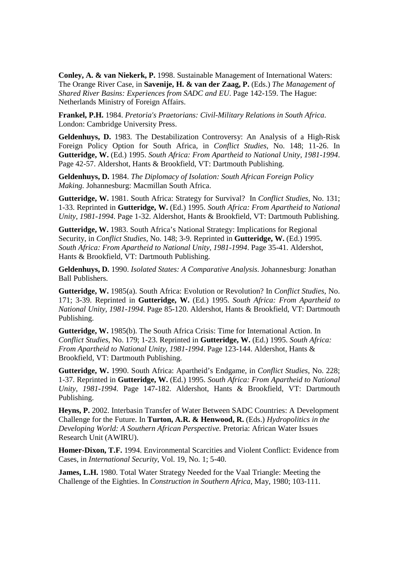**Conley, A. & van Niekerk, P.** 1998. Sustainable Management of International Waters: The Orange River Case, in **Savenije, H. & van der Zaag, P.** (Eds.) *The Management of Shared River Basins: Experiences from SADC and EU*. Page 142-159. The Hague: Netherlands Ministry of Foreign Affairs.

**Frankel, P.H.** 1984. *Pretoria's Praetorians: Civil-Military Relations in South Africa*. London: Cambridge University Press.

**Geldenhuys, D.** 1983. The Destabilization Controversy: An Analysis of a High-Risk Foreign Policy Option for South Africa, in *Conflict Studies*, No. 148; 11-26. In **Gutteridge, W.** (Ed.) 1995. *South Africa: From Apartheid to National Unity, 1981-1994*. Page 42-57. Aldershot, Hants & Brookfield, VT: Dartmouth Publishing.

**Geldenhuys, D.** 1984. *The Diplomacy of Isolation: South African Foreign Policy Making.* Johannesburg: Macmillan South Africa.

**Gutteridge, W.** 1981. South Africa: Strategy for Survival? In *Conflict Studies*, No. 131; 1-33. Reprinted in **Gutteridge, W.** (Ed.) 1995. *South Africa: From Apartheid to National Unity, 1981-1994*. Page 1-32. Aldershot, Hants & Brookfield, VT: Dartmouth Publishing.

**Gutteridge, W.** 1983. South Africa's National Strategy: Implications for Regional Security, in *Conflict Studies*, No. 148; 3-9. Reprinted in **Gutteridge, W.** (Ed.) 1995. *South Africa: From Apartheid to National Unity, 1981-1994*. Page 35-41. Aldershot, Hants & Brookfield, VT: Dartmouth Publishing.

**Geldenhuys, D.** 1990. *Isolated States: A Comparative Analysis*. Johannesburg: Jonathan Ball Publishers.

**Gutteridge, W.** 1985(a). South Africa: Evolution or Revolution? In *Conflict Studies*, No. 171; 3-39. Reprinted in **Gutteridge, W.** (Ed.) 1995. *South Africa: From Apartheid to National Unity, 1981-1994*. Page 85-120. Aldershot, Hants & Brookfield, VT: Dartmouth Publishing.

**Gutteridge, W.** 1985(b). The South Africa Crisis: Time for International Action. In *Conflict Studies*, No. 179; 1-23. Reprinted in **Gutteridge, W.** (Ed.) 1995. *South Africa: From Apartheid to National Unity, 1981-1994*. Page 123-144. Aldershot, Hants & Brookfield, VT: Dartmouth Publishing.

**Gutteridge, W.** 1990. South Africa: Apartheid's Endgame, in *Conflict Studies*, No. 228; 1-37. Reprinted in **Gutteridge, W.** (Ed.) 1995. *South Africa: From Apartheid to National Unity, 1981-1994*. Page 147-182. Aldershot, Hants & Brookfield, VT: Dartmouth Publishing.

**Heyns, P.** 2002. Interbasin Transfer of Water Between SADC Countries: A Development Challenge for the Future. In **Turton, A.R. & Henwood, R.** (Eds.) *Hydropolitics in the Developing World: A Southern African Perspective.* Pretoria: African Water Issues Research Unit (AWIRU).

**Homer-Dixon, T.F.** 1994. Environmental Scarcities and Violent Conflict: Evidence from Cases, in *International Security*, Vol. 19, No. 1; 5-40.

**James, L.H.** 1980. Total Water Strategy Needed for the Vaal Triangle: Meeting the Challenge of the Eighties. In *Construction in Southern Africa*, May, 1980; 103-111.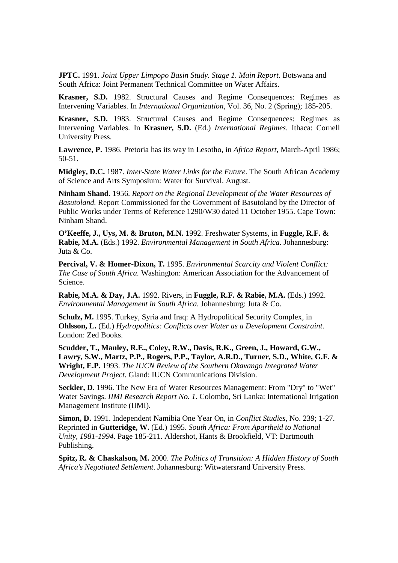**JPTC.** 1991*. Joint Upper Limpopo Basin Study. Stage 1. Main Report.* Botswana and South Africa: Joint Permanent Technical Committee on Water Affairs.

**Krasner, S.D.** 1982. Structural Causes and Regime Consequences: Regimes as Intervening Variables. In *International Organization*, Vol. 36, No. 2 (Spring); 185-205.

**Krasner, S.D.** 1983. Structural Causes and Regime Consequences: Regimes as Intervening Variables. In **Krasner, S.D.** (Ed.) *International Regimes*. Ithaca: Cornell University Press.

**Lawrence, P.** 1986. Pretoria has its way in Lesotho, in *Africa Report,* March-April 1986; 50-51.

**Midgley, D.C.** 1987. *Inter-State Water Links for the Future.* The South African Academy of Science and Arts Symposium: Water for Survival. August.

**Ninham Shand.** 1956. *Report on the Regional Development of the Water Resources of Basutoland.* Report Commissioned for the Government of Basutoland by the Director of Public Works under Terms of Reference 1290/W30 dated 11 October 1955. Cape Town: Ninham Shand.

**O'Keeffe, J., Uys, M. & Bruton, M.N.** 1992. Freshwater Systems, in **Fuggle, R.F. & Rabie, M.A.** (Eds.) 1992. *Environmental Management in South Africa.* Johannesburg: Juta & Co.

**Percival, V. & Homer-Dixon, T.** 1995. *Environmental Scarcity and Violent Conflict: The Case of South Africa.* Washington: American Association for the Advancement of Science.

**Rabie, M.A. & Day, J.A.** 1992. Rivers, in **Fuggle, R.F. & Rabie, M.A.** (Eds.) 1992. *Environmental Management in South Africa.* Johannesburg: Juta & Co.

**Schulz, M.** 1995. Turkey, Syria and Iraq: A Hydropolitical Security Complex, in **Ohlsson, L.** (Ed.) *Hydropolitics: Conflicts over Water as a Development Constraint*. London: Zed Books.

**Scudder, T., Manley, R.E., Coley, R.W., Davis, R.K., Green, J., Howard, G.W., Lawry, S.W., Martz, P.P., Rogers, P.P., Taylor, A.R.D., Turner, S.D., White, G.F. & Wright, E.P.** 1993. *The IUCN Review of the Southern Okavango Integrated Water Development Project*. Gland: IUCN Communications Division.

**Seckler, D.** 1996. The New Era of Water Resources Management: From "Dry" to "Wet" Water Savings. *IIMI Research Report No. 1*. Colombo, Sri Lanka: International Irrigation Management Institute (IIMI).

**Simon, D.** 1991. Independent Namibia One Year On, in *Conflict Studies*, No. 239; 1-27. Reprinted in **Gutteridge, W.** (Ed.) 1995. *South Africa: From Apartheid to National Unity, 1981-1994*. Page 185-211. Aldershot, Hants & Brookfield, VT: Dartmouth Publishing.

**Spitz, R. & Chaskalson, M.** 2000. *The Politics of Transition: A Hidden History of South Africa's Negotiated Settlement*. Johannesburg: Witwatersrand University Press.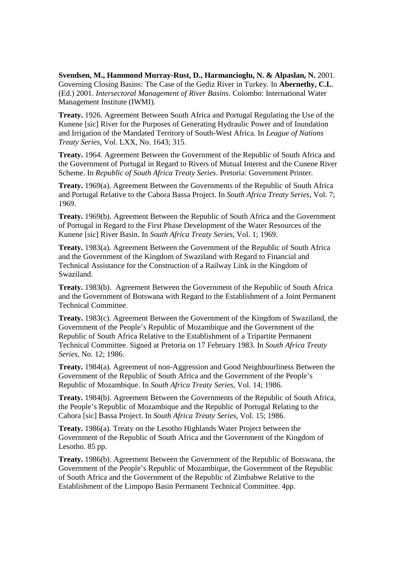**Svendsen, M., Hammond Murray-Rust, D., Harmancioglu, N. & Alpaslan, N.** 2001. Governing Closing Basins: The Case of the Gediz River in Turkey*.* In **Abernethy, C.L**. (Ed.) 2001. *Intersectoral Management of River Basins*. Colombo: International Water Management Institute (IWMI).

**Treaty.** 1926. Agreement Between South Africa and Portugal Regulating the Use of the Kunene [sic] River for the Purposes of Generating Hydraulic Power and of Inundation and Irrigation of the Mandated Territory of South-West Africa. In *League of Nations Treaty Series*, Vol. LXX, No. 1643; 315.

**Treaty.** 1964. Agreement Between the Government of the Republic of South Africa and the Government of Portugal in Regard to Rivers of Mutual Interest and the Cunene River Scheme. In *Republic of South Africa Treaty Series*. Pretoria: Government Printer.

**Treaty.** 1969(a). Agreement Between the Governments of the Republic of South Africa and Portugal Relative to the Cabora Bassa Project. In *South Africa Treaty Series*, Vol. 7; 1969.

**Treaty.** 1969(b). Agreement Between the Republic of South Africa and the Government of Portugal in Regard to the First Phase Development of the Water Resources of the Kunene [sic] River Basin. In *South Africa Treaty Series*, Vol. 1; 1969.

**Treaty.** 1983(a). Agreement Between the Government of the Republic of South Africa and the Government of the Kingdom of Swaziland with Regard to Financial and Technical Assistance for the Construction of a Railway Link in the Kingdom of Swaziland.

**Treaty.** 1983(b). Agreement Between the Government of the Republic of South Africa and the Government of Botswana with Regard to the Establishment of a Joint Permanent Technical Committee.

**Treaty.** 1983(c). Agreement Between the Government of the Kingdom of Swaziland, the Government of the People's Republic of Mozambique and the Government of the Republic of South Africa Relative to the Establishment of a Tripartite Permanent Technical Committee. Signed at Pretoria on 17 February 1983. In *South Africa Treaty Series*, No. 12; 1986.

**Treaty.** 1984(a). Agreement of non-Aggression and Good Neighbourliness Between the Government of the Republic of South Africa and the Government of the People's Republic of Mozambique. In *South Africa Treaty Series*, Vol. 14; 1986.

**Treaty.** 1984(b). Agreement Between the Governments of the Republic of South Africa, the People's Republic of Mozambique and the Republic of Portugal Relating to the Cahora [sic] Bassa Project. In *South Africa Treaty Series*, Vol. 15; 1986.

**Treaty.** 1986(a). Treaty on the Lesotho Highlands Water Project between the Government of the Republic of South Africa and the Government of the Kingdom of Lesotho. 85 pp.

**Treaty.** 1986(b). Agreement Between the Government of the Republic of Botswana, the Government of the People's Republic of Mozambique, the Government of the Republic of South Africa and the Government of the Republic of Zimbabwe Relative to the Establishment of the Limpopo Basin Permanent Technical Committee. 4pp.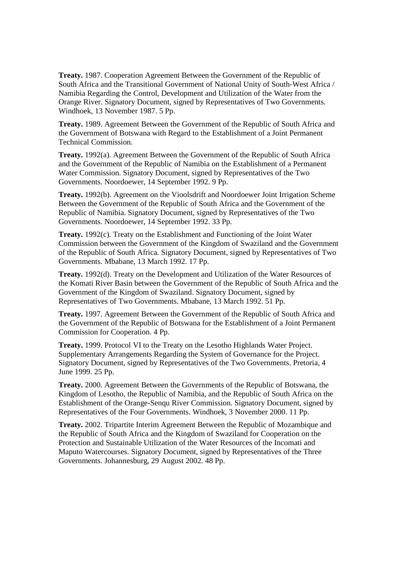**Treaty.** 1987. Cooperation Agreement Between the Government of the Republic of South Africa and the Transitional Government of National Unity of South-West Africa / Namibia Regarding the Control, Development and Utilization of the Water from the Orange River. Signatory Document, signed by Representatives of Two Governments. Windhoek, 13 November 1987. 5 Pp.

**Treaty.** 1989. Agreement Between the Government of the Republic of South Africa and the Government of Botswana with Regard to the Establishment of a Joint Permanent Technical Commission.

**Treaty.** 1992(a). Agreement Between the Government of the Republic of South Africa and the Government of the Republic of Namibia on the Establishment of a Permanent Water Commission. Signatory Document, signed by Representatives of the Two Governments. Noordoewer, 14 September 1992. 9 Pp.

**Treaty.** 1992(b). Agreement on the Vioolsdrift and Noordoewer Joint Irrigation Scheme Between the Government of the Republic of South Africa and the Government of the Republic of Namibia. Signatory Document, signed by Representatives of the Two Governments. Noordoewer, 14 September 1992. 33 Pp.

**Treaty.** 1992(c). Treaty on the Establishment and Functioning of the Joint Water Commission between the Government of the Kingdom of Swaziland and the Government of the Republic of South Africa. Signatory Document, signed by Representatives of Two Governments. Mbabane, 13 March 1992. 17 Pp.

**Treaty.** 1992(d). Treaty on the Development and Utilization of the Water Resources of the Komati River Basin between the Government of the Republic of South Africa and the Government of the Kingdom of Swaziland. Signatory Document, signed by Representatives of Two Governments. Mbabane, 13 March 1992. 51 Pp.

**Treaty.** 1997. Agreement Between the Government of the Republic of South Africa and the Government of the Republic of Botswana for the Establishment of a Joint Permanent Commission for Cooperation. 4 Pp.

**Treaty.** 1999. Protocol VI to the Treaty on the Lesotho Highlands Water Project. Supplementary Arrangements Regarding the System of Governance for the Project. Signatory Document, signed by Representatives of the Two Governments. Pretoria, 4 June 1999. 25 Pp.

**Treaty.** 2000. Agreement Between the Governments of the Republic of Botswana, the Kingdom of Lesotho, the Republic of Namibia, and the Republic of South Africa on the Establishment of the Orange-Senqu River Commission. Signatory Document, signed by Representatives of the Four Governments. Windhoek, 3 November 2000. 11 Pp.

**Treaty.** 2002. Tripartite Interim Agreement Between the Republic of Mozambique and the Republic of South Africa and the Kingdom of Swaziland for Cooperation on the Protection and Sustainable Utilization of the Water Resources of the Incomati and Maputo Watercourses. Signatory Document, signed by Representatives of the Three Governments. Johannesburg, 29 August 2002. 48 Pp.